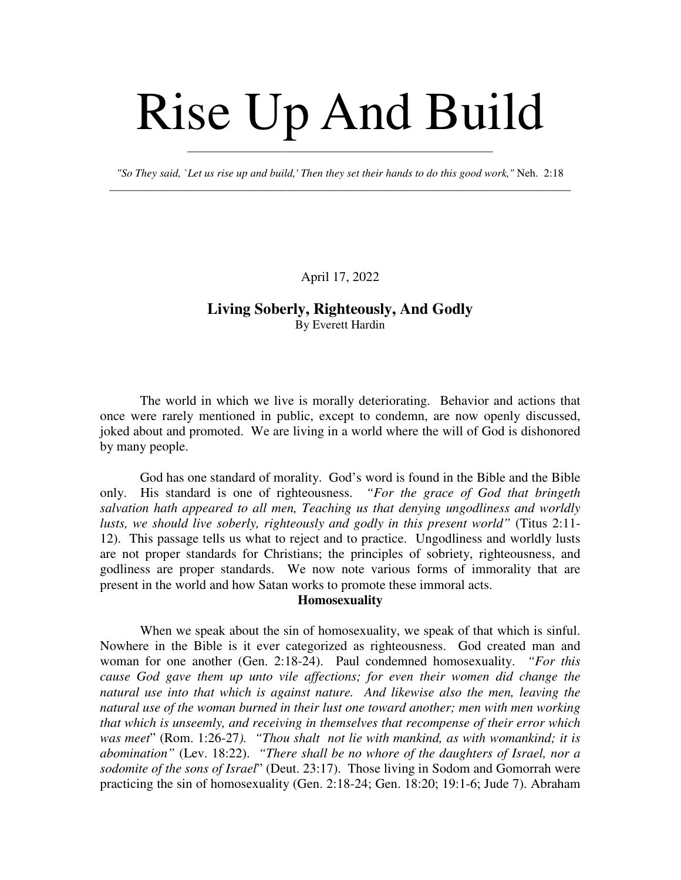# Rise Up And Build

*"So They said, `Let us rise up and build,' Then they set their hands to do this good work,"* Neh. 2:18 \_\_\_\_\_\_\_\_\_\_\_\_\_\_\_\_\_\_\_\_\_\_\_\_\_\_\_\_\_\_\_\_\_\_\_\_\_\_\_\_\_\_\_\_\_\_\_\_\_\_\_\_\_\_\_\_\_\_\_\_\_\_\_\_\_\_\_\_\_\_\_\_\_\_\_\_\_\_\_\_\_\_\_

\_\_\_\_\_\_\_\_\_\_\_\_\_\_\_\_\_\_\_\_\_\_\_\_\_\_\_\_\_\_\_\_\_\_\_\_\_\_\_\_\_\_\_\_\_\_\_\_\_\_\_\_\_\_\_

April 17, 2022

# **Living Soberly, Righteously, And Godly** By Everett Hardin

The world in which we live is morally deteriorating. Behavior and actions that once were rarely mentioned in public, except to condemn, are now openly discussed, joked about and promoted. We are living in a world where the will of God is dishonored by many people.

God has one standard of morality. God's word is found in the Bible and the Bible only. His standard is one of righteousness. *"For the grace of God that bringeth salvation hath appeared to all men, Teaching us that denying ungodliness and worldly lusts, we should live soberly, righteously and godly in this present world"* (Titus 2:11- 12). This passage tells us what to reject and to practice. Ungodliness and worldly lusts are not proper standards for Christians; the principles of sobriety, righteousness, and godliness are proper standards. We now note various forms of immorality that are present in the world and how Satan works to promote these immoral acts.

## **Homosexuality**

When we speak about the sin of homosexuality, we speak of that which is sinful. Nowhere in the Bible is it ever categorized as righteousness. God created man and woman for one another (Gen. 2:18-24). Paul condemned homosexuality. *"For this cause God gave them up unto vile affections; for even their women did change the natural use into that which is against nature. And likewise also the men, leaving the natural use of the woman burned in their lust one toward another; men with men working that which is unseemly, and receiving in themselves that recompense of their error which was meet*" (Rom. 1:26-27*). "Thou shalt not lie with mankind, as with womankind; it is abomination"* (Lev. 18:22). *"There shall be no whore of the daughters of Israel, nor a sodomite of the sons of Israel*" (Deut. 23:17). Those living in Sodom and Gomorrah were practicing the sin of homosexuality (Gen. 2:18-24; Gen. 18:20; 19:1-6; Jude 7). Abraham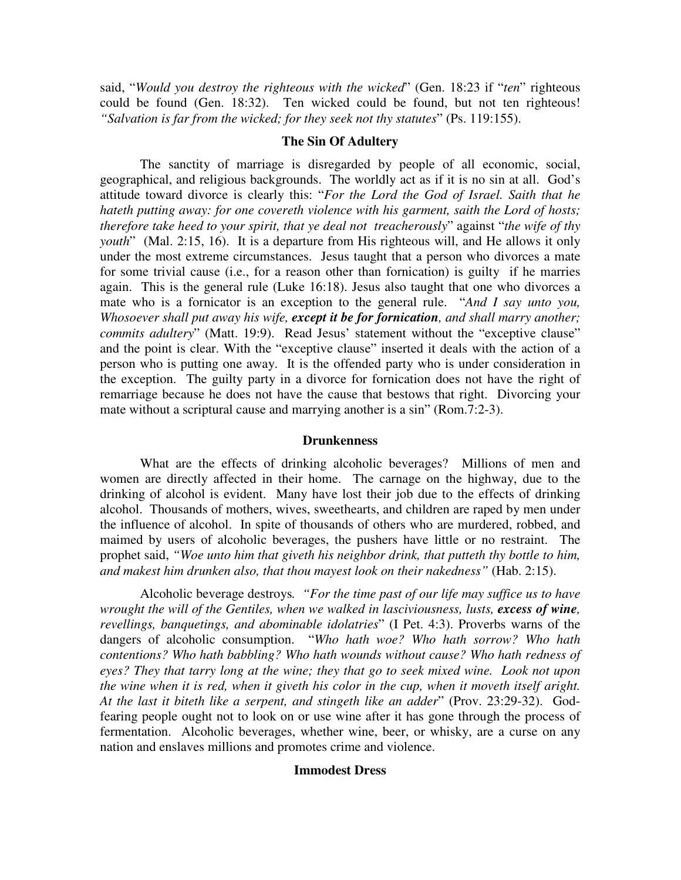said, "*Would you destroy the righteous with the wicked*" (Gen. 18:23 if "*ten*" righteous could be found (Gen. 18:32). Ten wicked could be found, but not ten righteous! *"Salvation is far from the wicked; for they seek not thy statutes*" (Ps. 119:155).

### **The Sin Of Adultery**

The sanctity of marriage is disregarded by people of all economic, social, geographical, and religious backgrounds. The worldly act as if it is no sin at all. God's attitude toward divorce is clearly this: "*For the Lord the God of Israel. Saith that he hateth putting away: for one covereth violence with his garment, saith the Lord of hosts; therefore take heed to your spirit, that ye deal not treacherously*" against "*the wife of thy youth*" (Mal. 2:15, 16). It is a departure from His righteous will, and He allows it only under the most extreme circumstances. Jesus taught that a person who divorces a mate for some trivial cause (i.e., for a reason other than fornication) is guilty if he marries again. This is the general rule (Luke 16:18). Jesus also taught that one who divorces a mate who is a fornicator is an exception to the general rule. "*And I say unto you, Whosoever shall put away his wife, except it be for fornication, and shall marry another; commits adultery*" (Matt. 19:9). Read Jesus' statement without the "exceptive clause" and the point is clear. With the "exceptive clause" inserted it deals with the action of a person who is putting one away. It is the offended party who is under consideration in the exception. The guilty party in a divorce for fornication does not have the right of remarriage because he does not have the cause that bestows that right. Divorcing your mate without a scriptural cause and marrying another is a sin" (Rom.7:2-3).

#### **Drunkenness**

What are the effects of drinking alcoholic beverages? Millions of men and women are directly affected in their home. The carnage on the highway, due to the drinking of alcohol is evident. Many have lost their job due to the effects of drinking alcohol. Thousands of mothers, wives, sweethearts, and children are raped by men under the influence of alcohol. In spite of thousands of others who are murdered, robbed, and maimed by users of alcoholic beverages, the pushers have little or no restraint. The prophet said, *"Woe unto him that giveth his neighbor drink, that putteth thy bottle to him, and makest him drunken also, that thou mayest look on their nakedness"* (Hab. 2:15).

Alcoholic beverage destroys*. "For the time past of our life may suffice us to have wrought the will of the Gentiles, when we walked in lasciviousness, lusts, excess of wine, revellings, banquetings, and abominable idolatries*" (I Pet. 4:3). Proverbs warns of the dangers of alcoholic consumption. "*Who hath woe? Who hath sorrow? Who hath contentions? Who hath babbling? Who hath wounds without cause? Who hath redness of eyes? They that tarry long at the wine; they that go to seek mixed wine. Look not upon the wine when it is red, when it giveth his color in the cup, when it moveth itself aright. At the last it biteth like a serpent, and stingeth like an adder*" (Prov. 23:29-32). Godfearing people ought not to look on or use wine after it has gone through the process of fermentation. Alcoholic beverages, whether wine, beer, or whisky, are a curse on any nation and enslaves millions and promotes crime and violence.

## **Immodest Dress**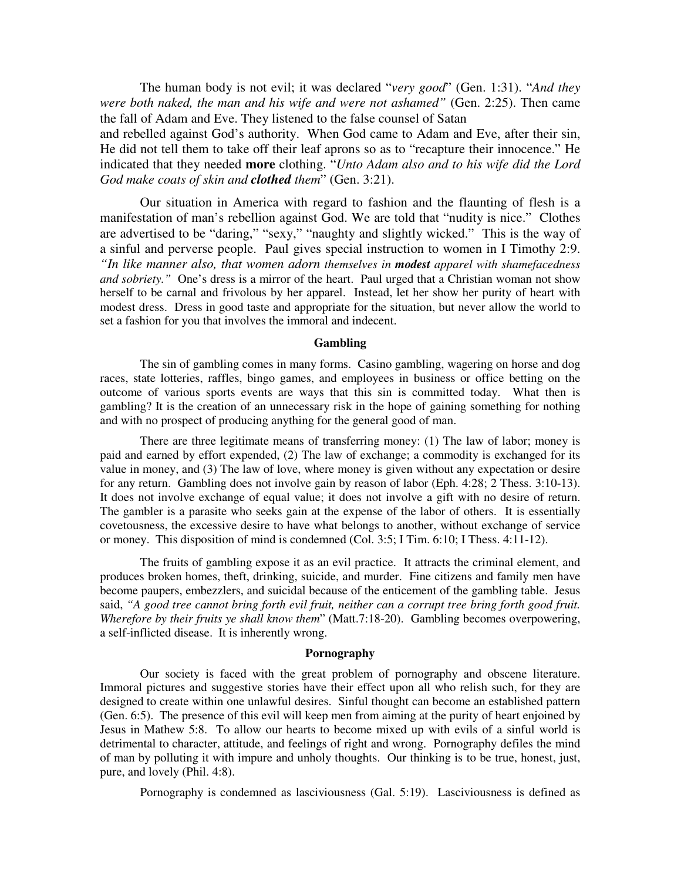The human body is not evil; it was declared "*very good*" (Gen. 1:31). "*And they were both naked, the man and his wife and were not ashamed"* (Gen. 2:25). Then came the fall of Adam and Eve. They listened to the false counsel of Satan

and rebelled against God's authority. When God came to Adam and Eve, after their sin, He did not tell them to take off their leaf aprons so as to "recapture their innocence." He indicated that they needed **more** clothing. "*Unto Adam also and to his wife did the Lord God make coats of skin and clothed them*" (Gen. 3:21).

Our situation in America with regard to fashion and the flaunting of flesh is a manifestation of man's rebellion against God. We are told that "nudity is nice." Clothes are advertised to be "daring," "sexy," "naughty and slightly wicked." This is the way of a sinful and perverse people. Paul gives special instruction to women in I Timothy 2:9. *"In like manner also, that women adorn themselves in modest apparel with shamefacedness and sobriety."* One's dress is a mirror of the heart. Paul urged that a Christian woman not show herself to be carnal and frivolous by her apparel. Instead, let her show her purity of heart with modest dress. Dress in good taste and appropriate for the situation, but never allow the world to set a fashion for you that involves the immoral and indecent.

#### **Gambling**

The sin of gambling comes in many forms. Casino gambling, wagering on horse and dog races, state lotteries, raffles, bingo games, and employees in business or office betting on the outcome of various sports events are ways that this sin is committed today. What then is gambling? It is the creation of an unnecessary risk in the hope of gaining something for nothing and with no prospect of producing anything for the general good of man.

There are three legitimate means of transferring money: (1) The law of labor; money is paid and earned by effort expended, (2) The law of exchange; a commodity is exchanged for its value in money, and (3) The law of love, where money is given without any expectation or desire for any return. Gambling does not involve gain by reason of labor (Eph. 4:28; 2 Thess. 3:10-13). It does not involve exchange of equal value; it does not involve a gift with no desire of return. The gambler is a parasite who seeks gain at the expense of the labor of others. It is essentially covetousness, the excessive desire to have what belongs to another, without exchange of service or money. This disposition of mind is condemned (Col. 3:5; I Tim. 6:10; I Thess. 4:11-12).

The fruits of gambling expose it as an evil practice. It attracts the criminal element, and produces broken homes, theft, drinking, suicide, and murder. Fine citizens and family men have become paupers, embezzlers, and suicidal because of the enticement of the gambling table. Jesus said, *"A good tree cannot bring forth evil fruit, neither can a corrupt tree bring forth good fruit. Wherefore by their fruits ye shall know them*" (Matt.7:18-20). Gambling becomes overpowering, a self-inflicted disease. It is inherently wrong.

#### **Pornography**

Our society is faced with the great problem of pornography and obscene literature. Immoral pictures and suggestive stories have their effect upon all who relish such, for they are designed to create within one unlawful desires. Sinful thought can become an established pattern (Gen. 6:5). The presence of this evil will keep men from aiming at the purity of heart enjoined by Jesus in Mathew 5:8. To allow our hearts to become mixed up with evils of a sinful world is detrimental to character, attitude, and feelings of right and wrong. Pornography defiles the mind of man by polluting it with impure and unholy thoughts. Our thinking is to be true, honest, just, pure, and lovely (Phil. 4:8).

Pornography is condemned as lasciviousness (Gal. 5:19). Lasciviousness is defined as